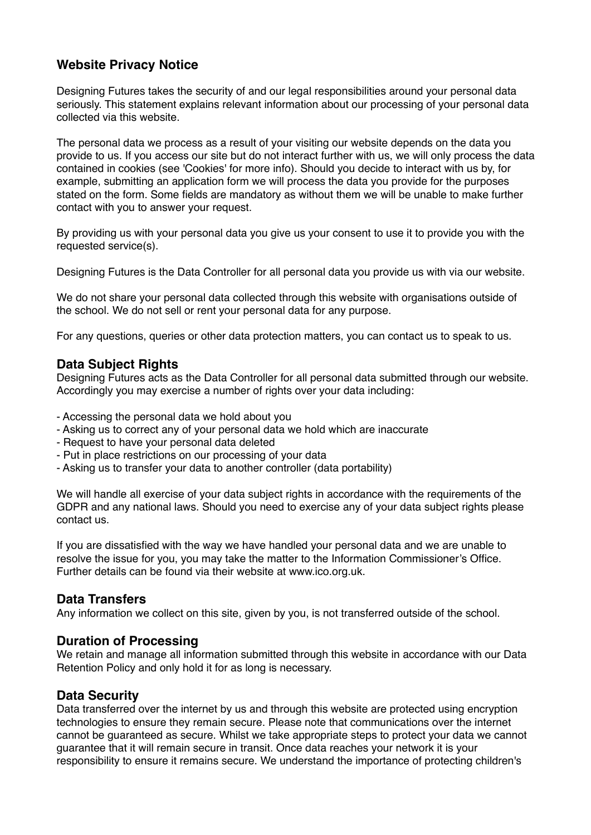# **Website Privacy Notice**

Designing Futures takes the security of and our legal responsibilities around your personal data seriously. This statement explains relevant information about our processing of your personal data collected via this website.

The personal data we process as a result of your visiting our website depends on the data you provide to us. If you access our site but do not interact further with us, we will only process the data contained in cookies (see 'Cookies' for more info). Should you decide to interact with us by, for example, submitting an application form we will process the data you provide for the purposes stated on the form. Some fields are mandatory as without them we will be unable to make further contact with you to answer your request.

By providing us with your personal data you give us your consent to use it to provide you with the requested service(s).

Designing Futures is the Data Controller for all personal data you provide us with via our website.

We do not share your personal data collected through this website with organisations outside of the school. We do not sell or rent your personal data for any purpose.

For any questions, queries or other data protection matters, you can contact us to speak to us.

### **Data Subject Rights**

Designing Futures acts as the Data Controller for all personal data submitted through our website. Accordingly you may exercise a number of rights over your data including:

- Accessing the personal data we hold about you
- Asking us to correct any of your personal data we hold which are inaccurate
- Request to have your personal data deleted
- Put in place restrictions on our processing of your data
- Asking us to transfer your data to another controller (data portability)

We will handle all exercise of your data subject rights in accordance with the requirements of the GDPR and any national laws. Should you need to exercise any of your data subject rights please contact us.

If you are dissatisfied with the way we have handled your personal data and we are unable to resolve the issue for you, you may take the matter to the Information Commissioner's Office. Further details can be found via their website at www.ico.org.uk.

# **Data Transfers**

Any information we collect on this site, given by you, is not transferred outside of the school.

#### **Duration of Processing**

We retain and manage all information submitted through this website in accordance with our Data Retention Policy and only hold it for as long is necessary.

#### **Data Security**

Data transferred over the internet by us and through this website are protected using encryption technologies to ensure they remain secure. Please note that communications over the internet cannot be guaranteed as secure. Whilst we take appropriate steps to protect your data we cannot guarantee that it will remain secure in transit. Once data reaches your network it is your responsibility to ensure it remains secure. We understand the importance of protecting children's